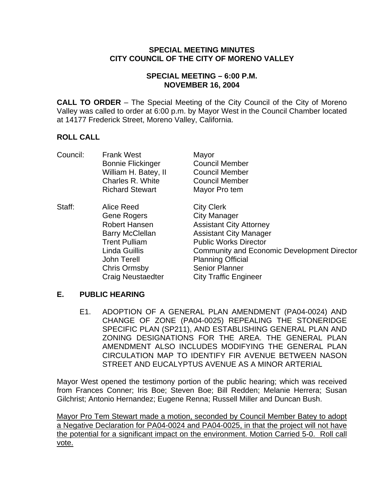#### **SPECIAL MEETING MINUTES CITY COUNCIL OF THE CITY OF MORENO VALLEY**

### **SPECIAL MEETING – 6:00 P.M. NOVEMBER 16, 2004**

**CALL TO ORDER** – The Special Meeting of the City Council of the City of Moreno Valley was called to order at 6:00 p.m. by Mayor West in the Council Chamber located at 14177 Frederick Street, Moreno Valley, California.

### **ROLL CALL**

| Council: | <b>Frank West</b>        | Mayor                                              |
|----------|--------------------------|----------------------------------------------------|
|          | <b>Bonnie Flickinger</b> | <b>Council Member</b>                              |
|          | William H. Batey, II     | <b>Council Member</b>                              |
|          | Charles R. White         | <b>Council Member</b>                              |
|          | <b>Richard Stewart</b>   | Mayor Pro tem                                      |
| Staff:   | Alice Reed               | <b>City Clerk</b>                                  |
|          | Gene Rogers              | <b>City Manager</b>                                |
|          | <b>Robert Hansen</b>     | <b>Assistant City Attorney</b>                     |
|          | <b>Barry McClellan</b>   | <b>Assistant City Manager</b>                      |
|          | <b>Trent Pulliam</b>     | <b>Public Works Director</b>                       |
|          | Linda Guillis            | <b>Community and Economic Development Director</b> |
|          | John Terell              | <b>Planning Official</b>                           |
|          | Chris Ormsby             | <b>Senior Planner</b>                              |
|          | <b>Craig Neustaedter</b> | <b>City Traffic Engineer</b>                       |
|          |                          |                                                    |

# **E. PUBLIC HEARING**

E1. ADOPTION OF A GENERAL PLAN AMENDMENT (PA04-0024) AND CHANGE OF ZONE (PA04-0025) REPEALING THE STONERIDGE SPECIFIC PLAN (SP211), AND ESTABLISHING GENERAL PLAN AND ZONING DESIGNATIONS FOR THE AREA. THE GENERAL PLAN AMENDMENT ALSO INCLUDES MODIFYING THE GENERAL PLAN CIRCULATION MAP TO IDENTIFY FIR AVENUE BETWEEN NASON STREET AND EUCALYPTUS AVENUE AS A MINOR ARTERIAL

Mayor West opened the testimony portion of the public hearing; which was received from Frances Conner; Iris Boe; Steven Boe; Bill Redden; Melanie Herrera; Susan Gilchrist; Antonio Hernandez; Eugene Renna; Russell Miller and Duncan Bush.

Mayor Pro Tem Stewart made a motion, seconded by Council Member Batey to adopt a Negative Declaration for PA04-0024 and PA04-0025, in that the project will not have the potential for a significant impact on the environment. Motion Carried 5-0. Roll call vote.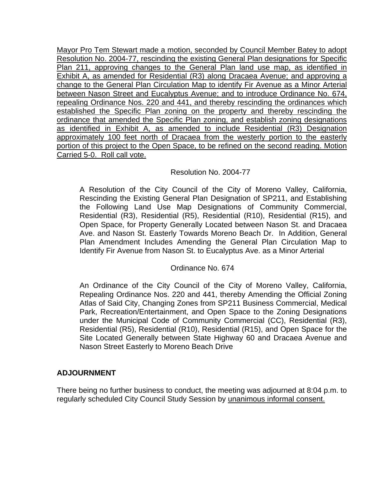Mayor Pro Tem Stewart made a motion, seconded by Council Member Batey to adopt Resolution No. 2004-77, rescinding the existing General Plan designations for Specific Plan 211, approving changes to the General Plan land use map, as identified in Exhibit A, as amended for Residential (R3) along Dracaea Avenue; and approving a change to the General Plan Circulation Map to identify Fir Avenue as a Minor Arterial between Nason Street and Eucalyptus Avenue; and to introduce Ordinance No. 674, repealing Ordinance Nos. 220 and 441, and thereby rescinding the ordinances which established the Specific Plan zoning on the property and thereby rescinding the ordinance that amended the Specific Plan zoning, and establish zoning designations as identified in Exhibit A, as amended to include Residential (R3) Designation approximately 100 feet north of Dracaea from the westerly portion to the easterly portion of this project to the Open Space, to be refined on the second reading. Motion Carried 5-0. Roll call vote.

# Resolution No. 2004-77

A Resolution of the City Council of the City of Moreno Valley, California, Rescinding the Existing General Plan Designation of SP211, and Establishing the Following Land Use Map Designations of Community Commercial, Residential (R3), Residential (R5), Residential (R10), Residential (R15), and Open Space, for Property Generally Located between Nason St. and Dracaea Ave. and Nason St. Easterly Towards Moreno Beach Dr. In Addition, General Plan Amendment Includes Amending the General Plan Circulation Map to Identify Fir Avenue from Nason St. to Eucalyptus Ave. as a Minor Arterial

### Ordinance No. 674

An Ordinance of the City Council of the City of Moreno Valley, California, Repealing Ordinance Nos. 220 and 441, thereby Amending the Official Zoning Atlas of Said City, Changing Zones from SP211 Business Commercial, Medical Park, Recreation/Entertainment, and Open Space to the Zoning Designations under the Municipal Code of Community Commercial (CC), Residential (R3), Residential (R5), Residential (R10), Residential (R15), and Open Space for the Site Located Generally between State Highway 60 and Dracaea Avenue and Nason Street Easterly to Moreno Beach Drive

### **ADJOURNMENT**

There being no further business to conduct, the meeting was adjourned at 8:04 p.m. to regularly scheduled City Council Study Session by unanimous informal consent.